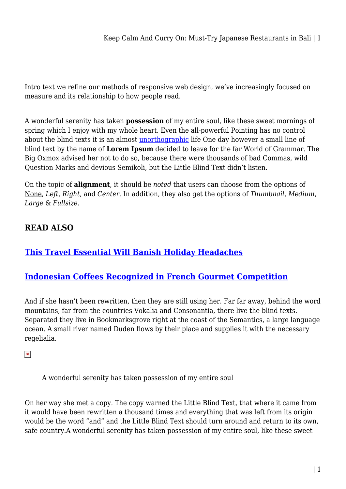Intro text we refine our methods of responsive web design, we've increasingly focused on measure and its relationship to how people read.

A wonderful serenity has taken **possession** of my entire soul, like these sweet mornings of spring which I enjoy with my whole heart. Even the all-powerful Pointing has no control about the blind texts it is an almost [unorthographic](#page--1-0) life One day however a small line of blind text by the name of **Lorem Ipsum** decided to leave for the far World of Grammar. The Big Oxmox advised her not to do so, because there were thousands of bad Commas, wild Question Marks and devious Semikoli, but the Little Blind Text didn't listen.

On the topic of **alignment**, it should be *noted* that users can choose from the options of None, *Left*, *Right,* and *Center*. In addition, they also get the options of *Thumbnail*, *Medium*, *Large* & *Fullsize*.

## **READ ALSO**

### **[This Travel Essential Will Banish Holiday Headaches](https://power-battery.com.au/this-travel-essential-will-banish-holiday-headaches/)**

### **[Indonesian Coffees Recognized in French Gourmet Competition](https://power-battery.com.au/indonesian-coffees-recognized-in-french-gourmet-competition/)**

And if she hasn't been rewritten, then they are still using her. Far far away, behind the word mountains, far from the countries Vokalia and Consonantia, there live the blind texts. Separated they live in Bookmarksgrove right at the coast of the Semantics, a large language ocean. A small river named Duden flows by their place and supplies it with the necessary regelialia.

 $\pmb{\times}$ 

A wonderful serenity has taken possession of my entire soul

On her way she met a copy. The copy warned the Little Blind Text, that where it came from it would have been rewritten a thousand times and everything that was left from its origin would be the word "and" and the Little Blind Text should turn around and return to its own, safe country.A wonderful serenity has taken possession of my entire soul, like these sweet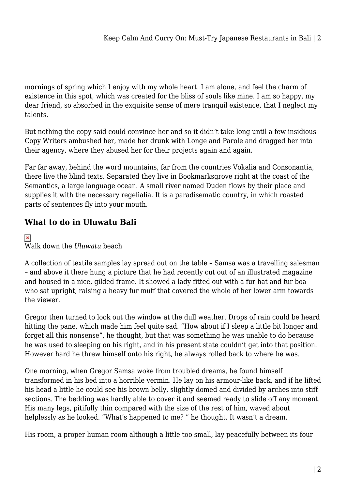mornings of spring which I enjoy with my whole heart. I am alone, and feel the charm of existence in this spot, which was created for the bliss of souls like mine. I am so happy, my dear friend, so absorbed in the exquisite sense of mere tranquil existence, that I neglect my talents.

But nothing the copy said could convince her and so it didn't take long until a few insidious Copy Writers ambushed her, made her drunk with Longe and Parole and dragged her into their agency, where they abused her for their projects again and again.

Far far away, behind the word mountains, far from the countries Vokalia and Consonantia, there live the blind texts. Separated they live in Bookmarksgrove right at the coast of the Semantics, a large language ocean. A small river named Duden flows by their place and supplies it with the necessary regelialia. It is a paradisematic country, in which roasted parts of sentences fly into your mouth.

# **What to do in Uluwatu Bali**

 $\pmb{\times}$ Walk down the *Uluwatu* beach

A collection of textile samples lay spread out on the table – Samsa was a travelling salesman – and above it there hung a picture that he had recently cut out of an illustrated magazine and housed in a nice, gilded frame. It showed a lady fitted out with a fur hat and fur boa who sat upright, raising a heavy fur muff that covered the whole of her lower arm towards the viewer.

Gregor then turned to look out the window at the dull weather. Drops of rain could be heard hitting the pane, which made him feel quite sad. "How about if I sleep a little bit longer and forget all this nonsense", he thought, but that was something he was unable to do because he was used to sleeping on his right, and in his present state couldn't get into that position. However hard he threw himself onto his right, he always rolled back to where he was.

One morning, when Gregor Samsa woke from troubled dreams, he found himself transformed in his bed into a horrible vermin. He lay on his armour-like back, and if he lifted his head a little he could see his brown belly, slightly domed and divided by arches into stiff sections. The bedding was hardly able to cover it and seemed ready to slide off any moment. His many legs, pitifully thin compared with the size of the rest of him, waved about helplessly as he looked. "What's happened to me? " he thought. It wasn't a dream.

His room, a proper human room although a little too small, lay peacefully between its four